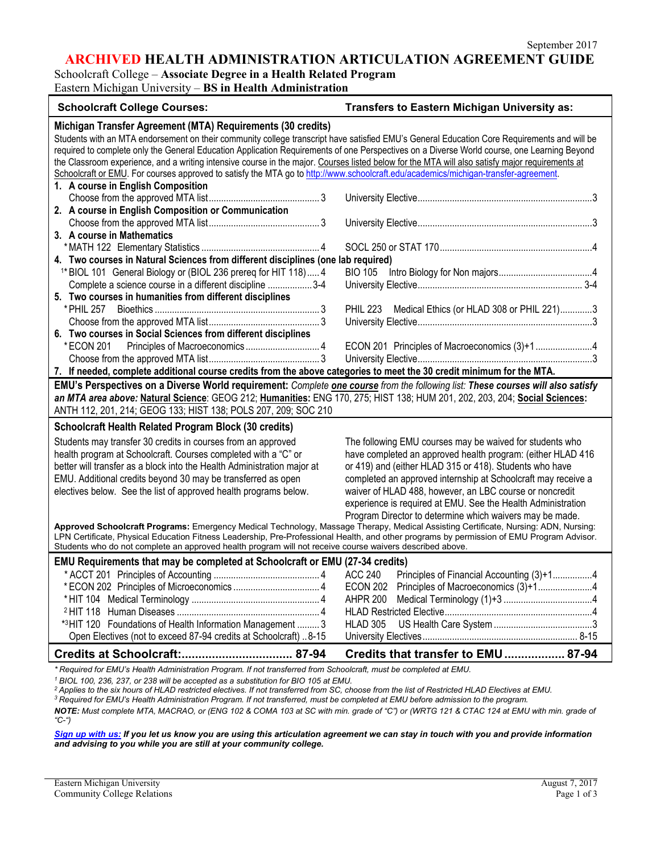**ARCHIVED HEALTH ADMINISTRATION ARTICULATION AGREEMENT GUIDE**

Schoolcraft College – **Associate Degree in a Health Related Program** Eastern Michigan University – **BS in Health Administration**

| <b>Schoolcraft College Courses:</b>                                                                                                                                                                                                                                                                                                                                                                                                                                                                                                                                                                                                                                                       | <b>Transfers to Eastern Michigan University as:</b>                                                                                                                                                                                                                                                                                                                                                                                        |  |
|-------------------------------------------------------------------------------------------------------------------------------------------------------------------------------------------------------------------------------------------------------------------------------------------------------------------------------------------------------------------------------------------------------------------------------------------------------------------------------------------------------------------------------------------------------------------------------------------------------------------------------------------------------------------------------------------|--------------------------------------------------------------------------------------------------------------------------------------------------------------------------------------------------------------------------------------------------------------------------------------------------------------------------------------------------------------------------------------------------------------------------------------------|--|
| Michigan Transfer Agreement (MTA) Requirements (30 credits)<br>Students with an MTA endorsement on their community college transcript have satisfied EMU's General Education Core Requirements and will be<br>required to complete only the General Education Application Requirements of one Perspectives on a Diverse World course, one Learning Beyond<br>the Classroom experience, and a writing intensive course in the major. Courses listed below for the MTA will also satisfy major requirements at<br>Schoolcraft or EMU. For courses approved to satisfy the MTA go to http://www.schoolcraft.edu/academics/michigan-transfer-agreement.<br>1. A course in English Composition |                                                                                                                                                                                                                                                                                                                                                                                                                                            |  |
| 2. A course in English Composition or Communication                                                                                                                                                                                                                                                                                                                                                                                                                                                                                                                                                                                                                                       |                                                                                                                                                                                                                                                                                                                                                                                                                                            |  |
| 3. A course in Mathematics                                                                                                                                                                                                                                                                                                                                                                                                                                                                                                                                                                                                                                                                |                                                                                                                                                                                                                                                                                                                                                                                                                                            |  |
| 4. Two courses in Natural Sciences from different disciplines (one lab required)                                                                                                                                                                                                                                                                                                                                                                                                                                                                                                                                                                                                          |                                                                                                                                                                                                                                                                                                                                                                                                                                            |  |
| <sup>1*</sup> BIOL 101 General Biology or (BIOL 236 prereq for HIT 118) 4<br>Complete a science course in a different discipline 3-4<br>5. Two courses in humanities from different disciplines                                                                                                                                                                                                                                                                                                                                                                                                                                                                                           | <b>BIO 105</b>                                                                                                                                                                                                                                                                                                                                                                                                                             |  |
| 6. Two courses in Social Sciences from different disciplines                                                                                                                                                                                                                                                                                                                                                                                                                                                                                                                                                                                                                              | PHIL 223 Medical Ethics (or HLAD 308 or PHIL 221)3                                                                                                                                                                                                                                                                                                                                                                                         |  |
| *ECON 201<br>7. If needed, complete additional course credits from the above categories to meet the 30 credit minimum for the MTA.                                                                                                                                                                                                                                                                                                                                                                                                                                                                                                                                                        | ECON 201 Principles of Macroeconomics (3)+14                                                                                                                                                                                                                                                                                                                                                                                               |  |
| EMU's Perspectives on a Diverse World requirement: Complete one course from the following list: These courses will also satisfy<br>an MTA area above: Natural Science: GEOG 212; Humanities: ENG 170, 275; HIST 138; HUM 201, 202, 203, 204; Social Sciences:<br>ANTH 112, 201, 214; GEOG 133; HIST 138; POLS 207, 209; SOC 210                                                                                                                                                                                                                                                                                                                                                           |                                                                                                                                                                                                                                                                                                                                                                                                                                            |  |
| Schoolcraft Health Related Program Block (30 credits)                                                                                                                                                                                                                                                                                                                                                                                                                                                                                                                                                                                                                                     |                                                                                                                                                                                                                                                                                                                                                                                                                                            |  |
| Students may transfer 30 credits in courses from an approved<br>health program at Schoolcraft. Courses completed with a "C" or<br>better will transfer as a block into the Health Administration major at<br>EMU. Additional credits beyond 30 may be transferred as open<br>electives below. See the list of approved health programs below.                                                                                                                                                                                                                                                                                                                                             | The following EMU courses may be waived for students who<br>have completed an approved health program: (either HLAD 416<br>or 419) and (either HLAD 315 or 418). Students who have<br>completed an approved internship at Schoolcraft may receive a<br>waiver of HLAD 488, however, an LBC course or noncredit<br>experience is required at EMU. See the Health Administration<br>Program Director to determine which waivers may be made. |  |
| Approved Schoolcraft Programs: Emergency Medical Technology, Massage Therapy, Medical Assisting Certificate, Nursing: ADN, Nursing:<br>LPN Certificate, Physical Education Fitness Leadership, Pre-Professional Health, and other programs by permission of EMU Program Advisor.<br>Students who do not complete an approved health program will not receive course waivers described above.                                                                                                                                                                                                                                                                                              |                                                                                                                                                                                                                                                                                                                                                                                                                                            |  |
| EMU Requirements that may be completed at Schoolcraft or EMU (27-34 credits)<br>*3HIT 120 Foundations of Health Information Management  3<br>Open Electives (not to exceed 87-94 credits at Schoolcraft)  8-15                                                                                                                                                                                                                                                                                                                                                                                                                                                                            | Principles of Financial Accounting (3)+14<br><b>AHPR 200</b><br><b>HLAD 305</b>                                                                                                                                                                                                                                                                                                                                                            |  |
|                                                                                                                                                                                                                                                                                                                                                                                                                                                                                                                                                                                                                                                                                           | Credits that transfer to EMU  87-94                                                                                                                                                                                                                                                                                                                                                                                                        |  |
| *Required for EMU's Health Administration Program. If not transferred from Schoolcraft, must be completed at EMU.                                                                                                                                                                                                                                                                                                                                                                                                                                                                                                                                                                         |                                                                                                                                                                                                                                                                                                                                                                                                                                            |  |

*<sup>1</sup> BIOL 100, 236, 237, or 238 will be accepted as a substitution for BIO 105 at EMU.*

<sup>3</sup> Required for EMU's Health Administration Program. If not transferred, must be completed at EMU before admission to the program.

*NOTE: Must complete MTA, MACRAO, or (ENG 102 & COMA 103 at SC with min. grade of "C") or (WRTG 121 & CTAC 124 at EMU with min. grade of "C-")*

*[Sign up with us:](https://www.emich.edu/ccr/articulation-agreements/signup.php) If you let us know you are using this articulation agreement we can stay in touch with you and provide information and advising to you while you are still at your community college.*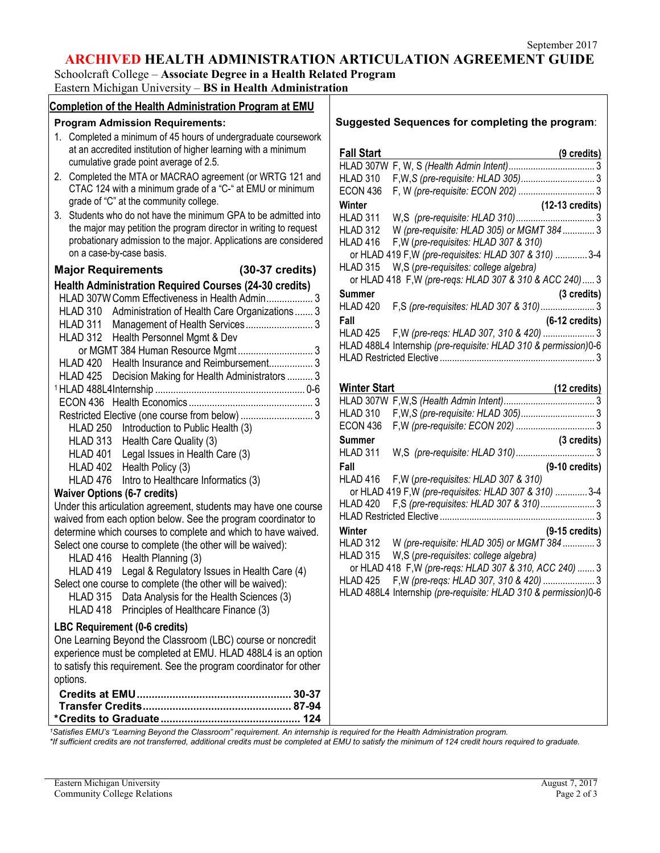## **ARCHIVED HEALTH ADMINISTRATION ARTICULATION AGREEMENT GUIDE**

Schoolcraft College – **Associate Degree in a Health Related Program** Eastern Michigan University – **BS in Health Administration**

| <b>Completion of the Health Administration Program at EMU</b>                                                                  |                                                                               |
|--------------------------------------------------------------------------------------------------------------------------------|-------------------------------------------------------------------------------|
| <b>Program Admission Requirements:</b>                                                                                         | Suggested Sequences for completing the program:                               |
| 1. Completed a minimum of 45 hours of undergraduate coursework                                                                 |                                                                               |
| at an accredited institution of higher learning with a minimum                                                                 | <b>Fall Start</b><br>(9 credits)                                              |
| cumulative grade point average of 2.5.                                                                                         |                                                                               |
| 2. Completed the MTA or MACRAO agreement (or WRTG 121 and                                                                      | <b>HLAD 310</b>                                                               |
| CTAC 124 with a minimum grade of a "C-" at EMU or minimum                                                                      | <b>ECON 436</b>                                                               |
| grade of "C" at the community college.                                                                                         | Winter<br>(12-13 credits)                                                     |
| 3. Students who do not have the minimum GPA to be admitted into                                                                | HLAD 311                                                                      |
| the major may petition the program director in writing to request                                                              | W (pre-requisite: HLAD 305) or MGMT 384 3<br><b>HLAD 312</b>                  |
| probationary admission to the major. Applications are considered                                                               | HLAD 416<br>F, W (pre-requisites: HLAD 307 & 310)                             |
| on a case-by-case basis.                                                                                                       | or HLAD 419 F, W (pre-requisites: HLAD 307 & 310)  3-4                        |
| (30-37 credits)<br><b>Major Requirements</b>                                                                                   | W,S (pre-requisites: college algebra)<br>HLAD 315                             |
| <b>Health Administration Required Courses (24-30 credits)</b>                                                                  | or HLAD 418 F, W (pre-reqs: HLAD 307 & 310 & ACC 240) 3                       |
| HLAD 307W Comm Effectiveness in Health Admin 3                                                                                 | <b>Summer</b><br>(3 credits)                                                  |
|                                                                                                                                | F,S (pre-requisites: HLAD 307 & 310) 3<br>HLAD 420                            |
| HLAD 310 Administration of Health Care Organizations 3<br>HLAD 311                                                             | Fall<br>$(6-12 \text{ credits})$                                              |
| HLAD 312 Health Personnel Mgmt & Dev                                                                                           | HLAD 425                                                                      |
|                                                                                                                                | HLAD 488L4 Internship (pre-requisite: HLAD 310 & permission)0-6               |
| or MGMT 384 Human Resource Mgmt 3<br>Health Insurance and Reimbursement 3<br>HLAD 420                                          |                                                                               |
|                                                                                                                                |                                                                               |
| HLAD 425<br>Decision Making for Health Administrators  3                                                                       | <b>Winter Start</b>                                                           |
|                                                                                                                                | (12 credits)                                                                  |
|                                                                                                                                | <b>HLAD 310</b>                                                               |
|                                                                                                                                | <b>ECON 436</b>                                                               |
| HLAD 250 Introduction to Public Health (3)                                                                                     | <b>Summer</b><br>(3 credits)                                                  |
| HLAD 313 Health Care Quality (3)                                                                                               | HLAD 311                                                                      |
| HLAD 401<br>Legal Issues in Health Care (3)                                                                                    | Fall                                                                          |
| HLAD 402 Health Policy (3)                                                                                                     | $(9-10 \text{ credits})$<br>F, W (pre-requisites: HLAD 307 & 310)<br>HLAD 416 |
| HLAD 476<br>Intro to Healthcare Informatics (3)                                                                                | or HLAD 419 F, W (pre-requisites: HLAD 307 & 310)  3-4                        |
| <b>Waiver Options (6-7 credits)</b>                                                                                            | F,S (pre-requisites: HLAD 307 & 310) 3<br>HLAD 420                            |
| Under this articulation agreement, students may have one course                                                                |                                                                               |
| waived from each option below. See the program coordinator to                                                                  | $(9-15$ credits)<br>Winter                                                    |
| determine which courses to complete and which to have waived.                                                                  | W (pre-requisite: HLAD 305) or MGMT 384  3<br>HLAD 312                        |
| Select one course to complete (the other will be waived):                                                                      | W,S (pre-requisites: college algebra)<br><b>HLAD 315</b>                      |
| HLAD 416 Health Planning (3)                                                                                                   | or HLAD 418 F, W (pre-reqs: HLAD 307 & 310, ACC 240)  3                       |
| HLAD 419 Legal & Regulatory Issues in Health Care (4)                                                                          | HLAD 425 F, W (pre-regs: HLAD 307, 310 & 420)  3                              |
| Select one course to complete (the other will be waived):                                                                      | HLAD 488L4 Internship (pre-requisite: HLAD 310 & permission)0-6               |
| Data Analysis for the Health Sciences (3)<br><b>HLAD 315</b>                                                                   |                                                                               |
| Principles of Healthcare Finance (3)<br>HLAD 418                                                                               |                                                                               |
| LBC Requirement (0-6 credits)                                                                                                  |                                                                               |
| One Learning Beyond the Classroom (LBC) course or noncredit                                                                    |                                                                               |
| experience must be completed at EMU. HLAD 488L4 is an option                                                                   |                                                                               |
| to satisfy this requirement. See the program coordinator for other                                                             |                                                                               |
| options.                                                                                                                       |                                                                               |
|                                                                                                                                |                                                                               |
|                                                                                                                                |                                                                               |
|                                                                                                                                |                                                                               |
| 1Satisfies EMU's "Learning Beyond the Classroom" requirement. An internship is required for the Health Administration program. |                                                                               |

*\*If sufficient credits are not transferred, additional credits must be completed at EMU to satisfy the minimum of 124 credit hours required to graduate.*